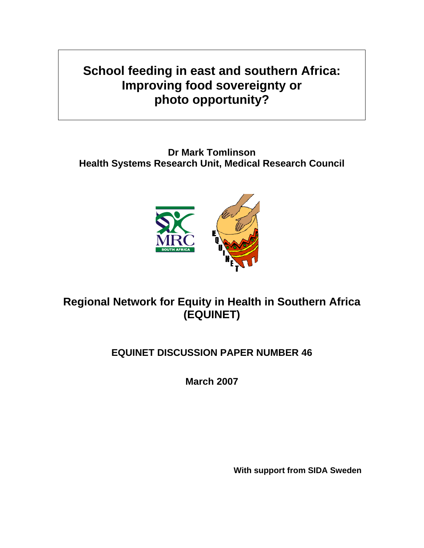**School feeding in east and southern Africa: Improving food sovereignty or photo opportunity?** 

**Dr Mark Tomlinson Health Systems Research Unit, Medical Research Council** 



**Regional Network for Equity in Health in Southern Africa (EQUINET)** 

# **EQUINET DISCUSSION PAPER NUMBER 46**

**March 2007** 

**With support from SIDA Sweden**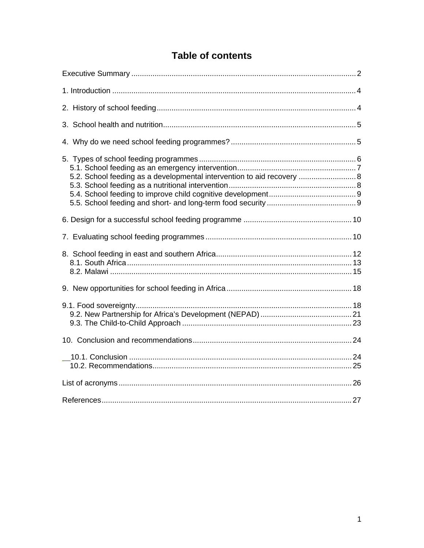|  |  |  | <b>Table of contents</b> |  |
|--|--|--|--------------------------|--|
|--|--|--|--------------------------|--|

| 5.2. School feeding as a developmental intervention to aid recovery  8 |
|------------------------------------------------------------------------|
|                                                                        |
|                                                                        |
|                                                                        |
|                                                                        |
|                                                                        |
|                                                                        |
|                                                                        |
|                                                                        |
|                                                                        |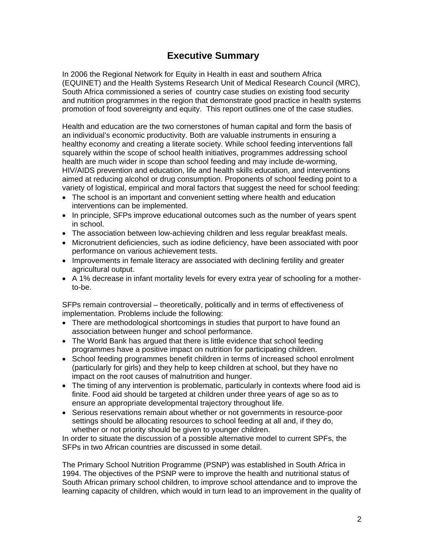## **Executive Summary**

In 2006 the Regional Network for Equity in Health in east and southern Africa (EQUINET) and the Health Systems Research Unit of Medical Research Council (MRC), South Africa commissioned a series of country case studies on existing food security and nutrition programmes in the region that demonstrate good practice in health systems promotion of food sovereignty and equity. This report outlines one of the case studies.

Health and education are the two cornerstones of human capital and form the basis of an individual's economic productivity. Both are valuable instruments in ensuring a healthy economy and creating a literate society. While school feeding interventions fall squarely within the scope of school health initiatives, programmes addressing school health are much wider in scope than school feeding and may include de-worming, HIV/AIDS prevention and education, life and health skills education, and interventions aimed at reducing alcohol or drug consumption. Proponents of school feeding point to a variety of logistical, empirical and moral factors that suggest the need for school feeding:

- The school is an important and convenient setting where health and education interventions can be implemented.
- In principle, SFPs improve educational outcomes such as the number of years spent in school.
- The association between low-achieving children and less regular breakfast meals.
- Micronutrient deficiencies, such as iodine deficiency, have been associated with poor performance on various achievement tests.
- Improvements in female literacy are associated with declining fertility and greater agricultural output.
- A 1% decrease in infant mortality levels for every extra year of schooling for a motherto-be.

SFPs remain controversial – theoretically, politically and in terms of effectiveness of implementation. Problems include the following:

- There are methodological shortcomings in studies that purport to have found an association between hunger and school performance.
- The World Bank has argued that there is little evidence that school feeding programmes have a positive impact on nutrition for participating children.
- School feeding programmes benefit children in terms of increased school enrolment (particularly for girls) and they help to keep children at school, but they have no impact on the root causes of malnutrition and hunger.
- The timing of any intervention is problematic, particularly in contexts where food aid is finite. Food aid should be targeted at children under three years of age so as to ensure an appropriate developmental trajectory throughout life.
- Serious reservations remain about whether or not governments in resource-poor settings should be allocating resources to school feeding at all and, if they do, whether or not priority should be given to younger children.

In order to situate the discussion of a possible alternative model to current SPFs, the SFPs in two African countries are discussed in some detail.

The Primary School Nutrition Programme (PSNP) was established in South Africa in 1994. The objectives of the PSNP were to improve the health and nutritional status of South African primary school children, to improve school attendance and to improve the learning capacity of children, which would in turn lead to an improvement in the quality of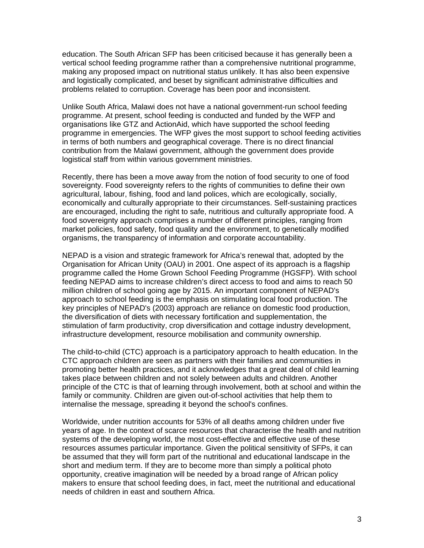education. The South African SFP has been criticised because it has generally been a vertical school feeding programme rather than a comprehensive nutritional programme, making any proposed impact on nutritional status unlikely. It has also been expensive and logistically complicated, and beset by significant administrative difficulties and problems related to corruption. Coverage has been poor and inconsistent.

Unlike South Africa, Malawi does not have a national government-run school feeding programme. At present, school feeding is conducted and funded by the WFP and organisations like GTZ and ActionAid, which have supported the school feeding programme in emergencies. The WFP gives the most support to school feeding activities in terms of both numbers and geographical coverage. There is no direct financial contribution from the Malawi government, although the government does provide logistical staff from within various government ministries.

Recently, there has been a move away from the notion of food security to one of food sovereignty. Food sovereignty refers to the rights of communities to define their own agricultural, labour, fishing, food and land polices, which are ecologically, socially, economically and culturally appropriate to their circumstances. Self-sustaining practices are encouraged, including the right to safe, nutritious and culturally appropriate food. A food sovereignty approach comprises a number of different principles, ranging from market policies, food safety, food quality and the environment, to genetically modified organisms, the transparency of information and corporate accountability.

NEPAD is a vision and strategic framework for Africa's renewal that, adopted by the Organisation for African Unity (OAU) in 2001. One aspect of its approach is a flagship programme called the Home Grown School Feeding Programme (HGSFP). With school feeding NEPAD aims to increase children's direct access to food and aims to reach 50 million children of school going age by 2015. An important component of NEPAD's approach to school feeding is the emphasis on stimulating local food production. The key principles of NEPAD's (2003) approach are reliance on domestic food production, the diversification of diets with necessary fortification and supplementation, the stimulation of farm productivity, crop diversification and cottage industry development, infrastructure development, resource mobilisation and community ownership.

The child-to-child (CTC) approach is a participatory approach to health education. In the CTC approach children are seen as partners with their families and communities in promoting better health practices, and it acknowledges that a great deal of child learning takes place between children and not solely between adults and children. Another principle of the CTC is that of learning through involvement, both at school and within the family or community. Children are given out-of-school activities that help them to internalise the message, spreading it beyond the school's confines.

Worldwide, under nutrition accounts for 53% of all deaths among children under five years of age. In the context of scarce resources that characterise the health and nutrition systems of the developing world, the most cost-effective and effective use of these resources assumes particular importance. Given the political sensitivity of SFPs, it can be assumed that they will form part of the nutritional and educational landscape in the short and medium term. If they are to become more than simply a political photo opportunity, creative imagination will be needed by a broad range of African policy makers to ensure that school feeding does, in fact, meet the nutritional and educational needs of children in east and southern Africa.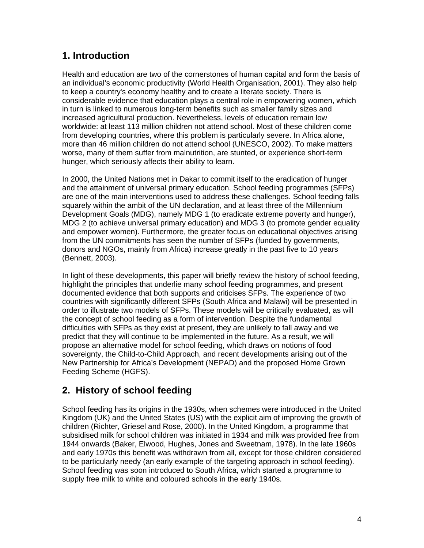# **1. Introduction**

Health and education are two of the cornerstones of human capital and form the basis of an individual's economic productivity (World Health Organisation, 2001). They also help to keep a country's economy healthy and to create a literate society. There is considerable evidence that education plays a central role in empowering women, which in turn is linked to numerous long-term benefits such as smaller family sizes and increased agricultural production. Nevertheless, levels of education remain low worldwide: at least 113 million children not attend school. Most of these children come from developing countries, where this problem is particularly severe. In Africa alone, more than 46 million children do not attend school (UNESCO, 2002). To make matters worse, many of them suffer from malnutrition, are stunted, or experience short-term hunger, which seriously affects their ability to learn.

In 2000, the United Nations met in Dakar to commit itself to the eradication of hunger and the attainment of universal primary education. School feeding programmes (SFPs) are one of the main interventions used to address these challenges. School feeding falls squarely within the ambit of the UN declaration, and at least three of the Millennium Development Goals (MDG), namely MDG 1 (to eradicate extreme poverty and hunger), MDG 2 (to achieve universal primary education) and MDG 3 (to promote gender equality and empower women). Furthermore, the greater focus on educational objectives arising from the UN commitments has seen the number of SFPs (funded by governments, donors and NGOs, mainly from Africa) increase greatly in the past five to 10 years (Bennett, 2003).

In light of these developments, this paper will briefly review the history of school feeding, highlight the principles that underlie many school feeding programmes, and present documented evidence that both supports and criticises SFPs. The experience of two countries with significantly different SFPs (South Africa and Malawi) will be presented in order to illustrate two models of SFPs. These models will be critically evaluated, as will the concept of school feeding as a form of intervention. Despite the fundamental difficulties with SFPs as they exist at present, they are unlikely to fall away and we predict that they will continue to be implemented in the future. As a result, we will propose an alternative model for school feeding, which draws on notions of food sovereignty, the Child-to-Child Approach, and recent developments arising out of the New Partnership for Africa's Development (NEPAD) and the proposed Home Grown Feeding Scheme (HGFS).

# **2. History of school feeding**

School feeding has its origins in the 1930s, when schemes were introduced in the United Kingdom (UK) and the United States (US) with the explicit aim of improving the growth of children (Richter, Griesel and Rose, 2000). In the United Kingdom, a programme that subsidised milk for school children was initiated in 1934 and milk was provided free from 1944 onwards (Baker, Elwood, Hughes, Jones and Sweetnam, 1978). In the late 1960s and early 1970s this benefit was withdrawn from all, except for those children considered to be particularly needy (an early example of the targeting approach in school feeding). School feeding was soon introduced to South Africa, which started a programme to supply free milk to white and coloured schools in the early 1940s.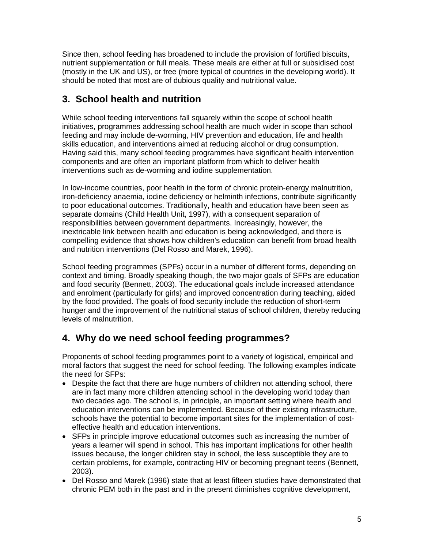Since then, school feeding has broadened to include the provision of fortified biscuits, nutrient supplementation or full meals. These meals are either at full or subsidised cost (mostly in the UK and US), or free (more typical of countries in the developing world). It should be noted that most are of dubious quality and nutritional value.

# **3. School health and nutrition**

While school feeding interventions fall squarely within the scope of school health initiatives, programmes addressing school health are much wider in scope than school feeding and may include de-worming, HIV prevention and education, life and health skills education, and interventions aimed at reducing alcohol or drug consumption. Having said this, many school feeding programmes have significant health intervention components and are often an important platform from which to deliver health interventions such as de-worming and iodine supplementation.

In low-income countries, poor health in the form of chronic protein-energy malnutrition, iron-deficiency anaemia, iodine deficiency or helminth infections, contribute significantly to poor educational outcomes. Traditionally, health and education have been seen as separate domains (Child Health Unit, 1997), with a consequent separation of responsibilities between government departments. Increasingly, however, the inextricable link between health and education is being acknowledged, and there is compelling evidence that shows how children's education can benefit from broad health and nutrition interventions (Del Rosso and Marek, 1996).

School feeding programmes (SPFs) occur in a number of different forms, depending on context and timing. Broadly speaking though, the two major goals of SFPs are education and food security (Bennett, 2003). The educational goals include increased attendance and enrolment (particularly for girls) and improved concentration during teaching, aided by the food provided. The goals of food security include the reduction of short-term hunger and the improvement of the nutritional status of school children, thereby reducing levels of malnutrition.

# **4. Why do we need school feeding programmes?**

Proponents of school feeding programmes point to a variety of logistical, empirical and moral factors that suggest the need for school feeding. The following examples indicate the need for SFPs:

- Despite the fact that there are huge numbers of children not attending school, there are in fact many more children attending school in the developing world today than two decades ago. The school is, in principle, an important setting where health and education interventions can be implemented. Because of their existing infrastructure, schools have the potential to become important sites for the implementation of costeffective health and education interventions.
- SFPs in principle improve educational outcomes such as increasing the number of years a learner will spend in school. This has important implications for other health issues because, the longer children stay in school, the less susceptible they are to certain problems, for example, contracting HIV or becoming pregnant teens (Bennett, 2003).
- Del Rosso and Marek (1996) state that at least fifteen studies have demonstrated that chronic PEM both in the past and in the present diminishes cognitive development,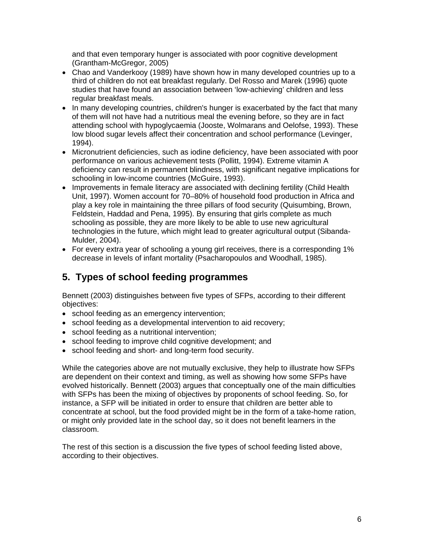and that even temporary hunger is associated with poor cognitive development (Grantham-McGregor, 2005)

- Chao and Vanderkooy (1989) have shown how in many developed countries up to a third of children do not eat breakfast regularly. Del Rosso and Marek (1996) quote studies that have found an association between 'low-achieving' children and less regular breakfast meals.
- In many developing countries, children's hunger is exacerbated by the fact that many of them will not have had a nutritious meal the evening before, so they are in fact attending school with hypoglycaemia (Jooste, Wolmarans and Oelofse, 1993). These low blood sugar levels affect their concentration and school performance (Levinger, 1994).
- Micronutrient deficiencies, such as iodine deficiency, have been associated with poor performance on various achievement tests (Pollitt, 1994). Extreme vitamin A deficiency can result in permanent blindness, with significant negative implications for schooling in low-income countries (McGuire, 1993).
- Improvements in female literacy are associated with declining fertility (Child Health Unit, 1997). Women account for 70–80% of household food production in Africa and play a key role in maintaining the three pillars of food security (Quisumbing, Brown, Feldstein, Haddad and Pena, 1995). By ensuring that girls complete as much schooling as possible, they are more likely to be able to use new agricultural technologies in the future, which might lead to greater agricultural output (Sibanda-Mulder, 2004).
- For every extra year of schooling a young girl receives, there is a corresponding 1% decrease in levels of infant mortality (Psacharopoulos and Woodhall, 1985).

# **5. Types of school feeding programmes**

Bennett (2003) distinguishes between five types of SFPs, according to their different objectives:

- school feeding as an emergency intervention;
- school feeding as a developmental intervention to aid recovery;
- school feeding as a nutritional intervention;
- school feeding to improve child cognitive development; and
- school feeding and short- and long-term food security.

While the categories above are not mutually exclusive, they help to illustrate how SFPs are dependent on their context and timing, as well as showing how some SFPs have evolved historically. Bennett (2003) argues that conceptually one of the main difficulties with SFPs has been the mixing of objectives by proponents of school feeding. So, for instance, a SFP will be initiated in order to ensure that children are better able to concentrate at school, but the food provided might be in the form of a take-home ration, or might only provided late in the school day, so it does not benefit learners in the classroom.

The rest of this section is a discussion the five types of school feeding listed above, according to their objectives.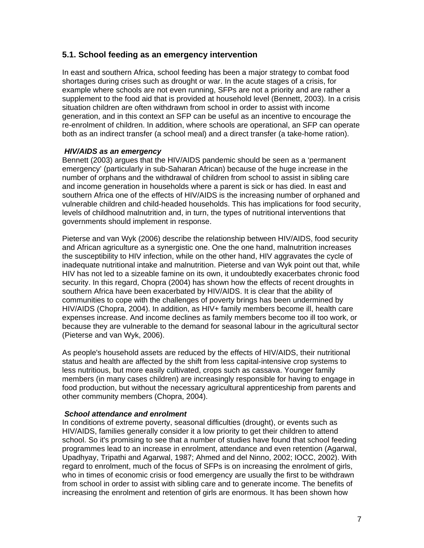#### **5.1. School feeding as an emergency intervention**

In east and southern Africa, school feeding has been a major strategy to combat food shortages during crises such as drought or war. In the acute stages of a crisis, for example where schools are not even running, SFPs are not a priority and are rather a supplement to the food aid that is provided at household level (Bennett, 2003). In a crisis situation children are often withdrawn from school in order to assist with income generation, and in this context an SFP can be useful as an incentive to encourage the re-enrolment of children. In addition, where schools are operational, an SFP can operate both as an indirect transfer (a school meal) and a direct transfer (a take-home ration).

#### *HIV/AIDS as an emergency*

Bennett (2003) argues that the HIV/AIDS pandemic should be seen as a 'permanent emergency' (particularly in sub-Saharan African) because of the huge increase in the number of orphans and the withdrawal of children from school to assist in sibling care and income generation in households where a parent is sick or has died. In east and southern Africa one of the effects of HIV/AIDS is the increasing number of orphaned and vulnerable children and child-headed households. This has implications for food security, levels of childhood malnutrition and, in turn, the types of nutritional interventions that governments should implement in response.

Pieterse and van Wyk (2006) describe the relationship between HIV/AIDS, food security and African agriculture as a synergistic one. One the one hand, malnutrition increases the susceptibility to HIV infection, while on the other hand, HIV aggravates the cycle of inadequate nutritional intake and malnutrition. Pieterse and van Wyk point out that, while HIV has not led to a sizeable famine on its own, it undoubtedly exacerbates chronic food security. In this regard, Chopra (2004) has shown how the effects of recent droughts in southern Africa have been exacerbated by HIV/AIDS. It is clear that the ability of communities to cope with the challenges of poverty brings has been undermined by HIV/AIDS (Chopra, 2004). In addition, as HIV+ family members become ill, health care expenses increase. And income declines as family members become too ill too work, or because they are vulnerable to the demand for seasonal labour in the agricultural sector (Pieterse and van Wyk, 2006).

As people's household assets are reduced by the effects of HIV/AIDS, their nutritional status and health are affected by the shift from less capital-intensive crop systems to less nutritious, but more easily cultivated, crops such as cassava. Younger family members (in many cases children) are increasingly responsible for having to engage in food production, but without the necessary agricultural apprenticeship from parents and other community members (Chopra, 2004).

#### *School attendance and enrolment*

In conditions of extreme poverty, seasonal difficulties (drought), or events such as HIV/AIDS, families generally consider it a low priority to get their children to attend school. So it's promising to see that a number of studies have found that school feeding programmes lead to an increase in enrolment, attendance and even retention (Agarwal, Upadhyay, Tripathi and Agarwal, 1987; Ahmed and del Ninno, 2002; IOCC, 2002). With regard to enrolment, much of the focus of SFPs is on increasing the enrolment of girls, who in times of economic crisis or food emergency are usually the first to be withdrawn from school in order to assist with sibling care and to generate income. The benefits of increasing the enrolment and retention of girls are enormous. It has been shown how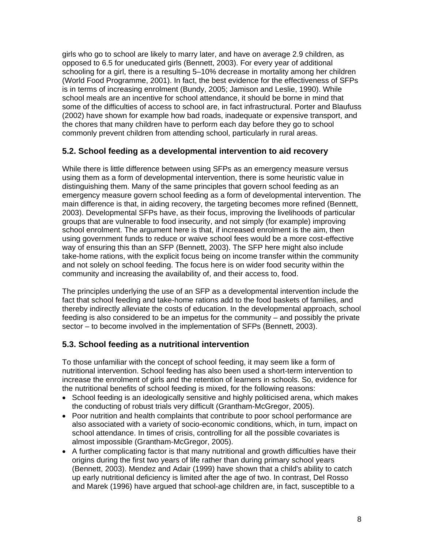girls who go to school are likely to marry later, and have on average 2.9 children, as opposed to 6.5 for uneducated girls (Bennett, 2003). For every year of additional schooling for a girl, there is a resulting 5–10% decrease in mortality among her children (World Food Programme, 2001). In fact, the best evidence for the effectiveness of SFPs is in terms of increasing enrolment (Bundy, 2005; Jamison and Leslie, 1990). While school meals are an incentive for school attendance, it should be borne in mind that some of the difficulties of access to school are, in fact infrastructural. Porter and Blaufuss (2002) have shown for example how bad roads, inadequate or expensive transport, and the chores that many children have to perform each day before they go to school commonly prevent children from attending school, particularly in rural areas.

### **5.2. School feeding as a developmental intervention to aid recovery**

While there is little difference between using SFPs as an emergency measure versus using them as a form of developmental intervention, there is some heuristic value in distinguishing them. Many of the same principles that govern school feeding as an emergency measure govern school feeding as a form of developmental intervention. The main difference is that, in aiding recovery, the targeting becomes more refined (Bennett, 2003). Developmental SFPs have, as their focus, improving the livelihoods of particular groups that are vulnerable to food insecurity, and not simply (for example) improving school enrolment. The argument here is that, if increased enrolment is the aim, then using government funds to reduce or waive school fees would be a more cost-effective way of ensuring this than an SFP (Bennett, 2003). The SFP here might also include take-home rations, with the explicit focus being on income transfer within the community and not solely on school feeding. The focus here is on wider food security within the community and increasing the availability of, and their access to, food.

The principles underlying the use of an SFP as a developmental intervention include the fact that school feeding and take-home rations add to the food baskets of families, and thereby indirectly alleviate the costs of education. In the developmental approach, school feeding is also considered to be an impetus for the community – and possibly the private sector – to become involved in the implementation of SFPs (Bennett, 2003).

### **5.3. School feeding as a nutritional intervention**

To those unfamiliar with the concept of school feeding, it may seem like a form of nutritional intervention. School feeding has also been used a short-term intervention to increase the enrolment of girls and the retention of learners in schools. So, evidence for the nutritional benefits of school feeding is mixed, for the following reasons:

- School feeding is an ideologically sensitive and highly politicised arena, which makes the conducting of robust trials very difficult (Grantham-McGregor, 2005).
- Poor nutrition and health complaints that contribute to poor school performance are also associated with a variety of socio-economic conditions, which, in turn, impact on school attendance. In times of crisis, controlling for all the possible covariates is almost impossible (Grantham-McGregor, 2005).
- A further complicating factor is that many nutritional and growth difficulties have their origins during the first two years of life rather than during primary school years (Bennett, 2003). Mendez and Adair (1999) have shown that a child's ability to catch up early nutritional deficiency is limited after the age of two. In contrast, Del Rosso and Marek (1996) have argued that school-age children are, in fact, susceptible to a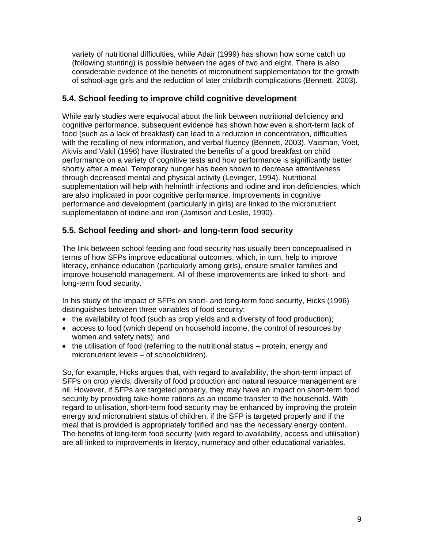variety of nutritional difficulties, while Adair (1999) has shown how some catch up (following stunting) is possible between the ages of two and eight. There is also considerable evidence of the benefits of micronutrient supplementation for the growth of school-age girls and the reduction of later childbirth complications (Bennett, 2003).

### **5.4. School feeding to improve child cognitive development**

While early studies were equivocal about the link between nutritional deficiency and cognitive performance, subsequent evidence has shown how even a short-term lack of food (such as a lack of breakfast) can lead to a reduction in concentration, difficulties with the recalling of new information, and verbal fluency (Bennett, 2003). Vaisman, Voet, Akivis and Vakil (1996) have illustrated the benefits of a good breakfast on child performance on a variety of cognitive tests and how performance is significantly better shortly after a meal. Temporary hunger has been shown to decrease attentiveness through decreased mental and physical activity (Levinger, 1994). Nutritional supplementation will help with helminth infections and iodine and iron deficiencies, which are also implicated in poor cognitive performance. Improvements in cognitive performance and development (particularly in girls) are linked to the micronutrient supplementation of iodine and iron (Jamison and Leslie, 1990).

### **5.5. School feeding and short- and long-term food security**

The link between school feeding and food security has usually been conceptualised in terms of how SFPs improve educational outcomes, which, in turn, help to improve literacy, enhance education (particularly among girls), ensure smaller families and improve household management. All of these improvements are linked to short- and long-term food security.

In his study of the impact of SFPs on short- and long-term food security, Hicks (1996) distinguishes between three variables of food security:

- the availability of food (such as crop yields and a diversity of food production);
- access to food (which depend on household income, the control of resources by women and safety nets); and
- the utilisation of food (referring to the nutritional status protein, energy and micronutrient levels – of schoolchildren).

So, for example, Hicks argues that, with regard to availability, the short-term impact of SFPs on crop yields, diversity of food production and natural resource management are nil. However, if SFPs are targeted properly, they may have an impact on short-term food security by providing take-home rations as an income transfer to the household. With regard to utilisation, short-term food security may be enhanced by improving the protein energy and micronutrient status of children, if the SFP is targeted properly and if the meal that is provided is appropriately fortified and has the necessary energy content. The benefits of long-term food security (with regard to availability, access and utilisation) are all linked to improvements in literacy, numeracy and other educational variables.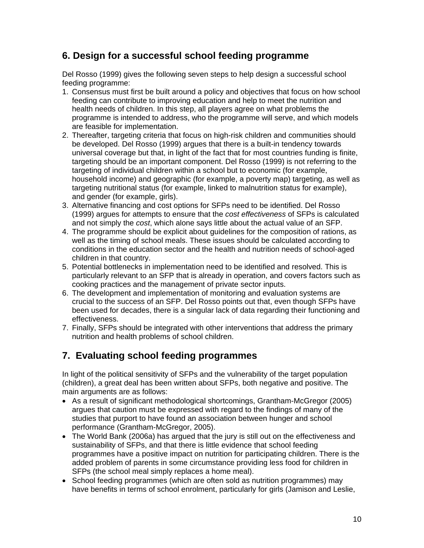## **6. Design for a successful school feeding programme**

Del Rosso (1999) gives the following seven steps to help design a successful school feeding programme:

- 1. Consensus must first be built around a policy and objectives that focus on how school feeding can contribute to improving education and help to meet the nutrition and health needs of children. In this step, all players agree on what problems the programme is intended to address, who the programme will serve, and which models are feasible for implementation.
- 2. Thereafter, targeting criteria that focus on high-risk children and communities should be developed. Del Rosso (1999) argues that there is a built-in tendency towards universal coverage but that, in light of the fact that for most countries funding is finite, targeting should be an important component. Del Rosso (1999) is not referring to the targeting of individual children within a school but to economic (for example, household income) and geographic (for example, a poverty map) targeting, as well as targeting nutritional status (for example, linked to malnutrition status for example), and gender (for example, girls).
- 3. Alternative financing and cost options for SFPs need to be identified. Del Rosso (1999) argues for attempts to ensure that the *cost effectiveness* of SFPs is calculated and not simply the *cost*, which alone says little about the actual value of an SFP.
- 4. The programme should be explicit about guidelines for the composition of rations, as well as the timing of school meals. These issues should be calculated according to conditions in the education sector and the health and nutrition needs of school-aged children in that country.
- 5. Potential bottlenecks in implementation need to be identified and resolved. This is particularly relevant to an SFP that is already in operation, and covers factors such as cooking practices and the management of private sector inputs.
- 6. The development and implementation of monitoring and evaluation systems are crucial to the success of an SFP. Del Rosso points out that, even though SFPs have been used for decades, there is a singular lack of data regarding their functioning and effectiveness.
- 7. Finally, SFPs should be integrated with other interventions that address the primary nutrition and health problems of school children.

## **7. Evaluating school feeding programmes**

In light of the political sensitivity of SFPs and the vulnerability of the target population (children), a great deal has been written about SFPs, both negative and positive. The main arguments are as follows:

- As a result of significant methodological shortcomings, Grantham-McGregor (2005) argues that caution must be expressed with regard to the findings of many of the studies that purport to have found an association between hunger and school performance (Grantham-McGregor, 2005).
- The World Bank (2006a) has argued that the jury is still out on the effectiveness and sustainability of SFPs, and that there is little evidence that school feeding programmes have a positive impact on nutrition for participating children. There is the added problem of parents in some circumstance providing less food for children in SFPs (the school meal simply replaces a home meal).
- School feeding programmes (which are often sold as nutrition programmes) may have benefits in terms of school enrolment, particularly for girls (Jamison and Leslie,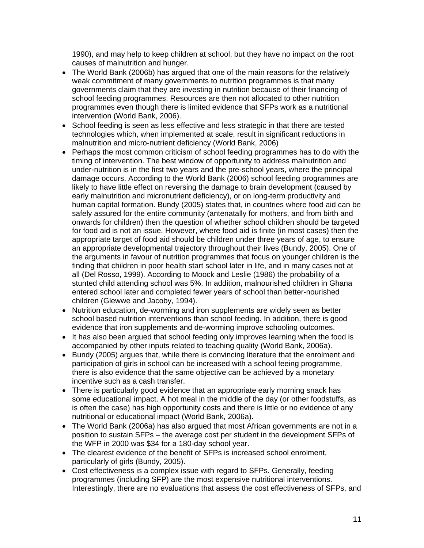1990), and may help to keep children at school, but they have no impact on the root causes of malnutrition and hunger.

- The World Bank (2006b) has argued that one of the main reasons for the relatively weak commitment of many governments to nutrition programmes is that many governments claim that they are investing in nutrition because of their financing of school feeding programmes. Resources are then not allocated to other nutrition programmes even though there is limited evidence that SFPs work as a nutritional intervention (World Bank, 2006).
- School feeding is seen as less effective and less strategic in that there are tested technologies which, when implemented at scale, result in significant reductions in malnutrition and micro-nutrient deficiency (World Bank, 2006)
- Perhaps the most common criticism of school feeding programmes has to do with the timing of intervention. The best window of opportunity to address malnutrition and under-nutrition is in the first two years and the pre-school years, where the principal damage occurs. According to the World Bank (2006) school feeding programmes are likely to have little effect on reversing the damage to brain development (caused by early malnutrition and micronutrient deficiency), or on long-term productivity and human capital formation. Bundy (2005) states that, in countries where food aid can be safely assured for the entire community (antenatally for mothers, and from birth and onwards for children) then the question of whether school children should be targeted for food aid is not an issue. However, where food aid is finite (in most cases) then the appropriate target of food aid should be children under three years of age, to ensure an appropriate developmental trajectory throughout their lives (Bundy, 2005). One of the arguments in favour of nutrition programmes that focus on younger children is the finding that children in poor health start school later in life, and in many cases not at all (Del Rosso, 1999). According to Moock and Leslie (1986) the probability of a stunted child attending school was 5%. In addition, malnourished children in Ghana entered school later and completed fewer years of school than better-nourished children (Glewwe and Jacoby, 1994).
- Nutrition education, de-worming and iron supplements are widely seen as better school based nutrition interventions than school feeding. In addition, there is good evidence that iron supplements and de-worming improve schooling outcomes.
- It has also been argued that school feeding only improves learning when the food is accompanied by other inputs related to teaching quality (World Bank, 2006a).
- Bundy (2005) argues that, while there is convincing literature that the enrolment and participation of girls in school can be increased with a school feeing programme, there is also evidence that the same objective can be achieved by a monetary incentive such as a cash transfer.
- There is particularly good evidence that an appropriate early morning snack has some educational impact. A hot meal in the middle of the day (or other foodstuffs, as is often the case) has high opportunity costs and there is little or no evidence of any nutritional or educational impact (World Bank, 2006a).
- The World Bank (2006a) has also argued that most African governments are not in a position to sustain SFPs – the average cost per student in the development SFPs of the WFP in 2000 was \$34 for a 180-day school year.
- The clearest evidence of the benefit of SFPs is increased school enrolment, particularly of girls (Bundy, 2005).
- Cost effectiveness is a complex issue with regard to SFPs. Generally, feeding programmes (including SFP) are the most expensive nutritional interventions. Interestingly, there are no evaluations that assess the cost effectiveness of SFPs, and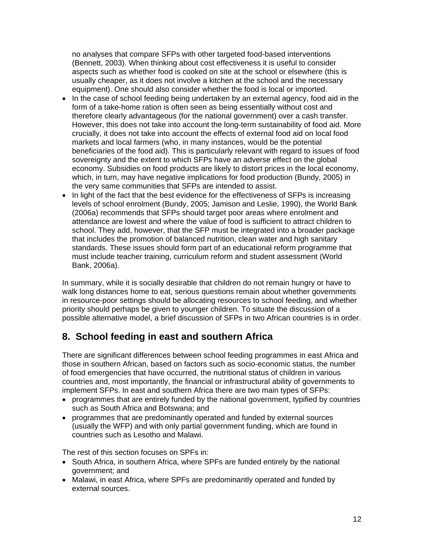no analyses that compare SFPs with other targeted food-based interventions (Bennett, 2003). When thinking about cost effectiveness it is useful to consider aspects such as whether food is cooked on site at the school or elsewhere (this is usually cheaper, as it does not involve a kitchen at the school and the necessary equipment). One should also consider whether the food is local or imported.

- In the case of school feeding being undertaken by an external agency, food aid in the form of a take-home ration is often seen as being essentially without cost and therefore clearly advantageous (for the national government) over a cash transfer. However, this does not take into account the long-term sustainability of food aid. More crucially, it does not take into account the effects of external food aid on local food markets and local farmers (who, in many instances, would be the potential beneficiaries of the food aid). This is particularly relevant with regard to issues of food sovereignty and the extent to which SFPs have an adverse effect on the global economy. Subsidies on food products are likely to distort prices in the local economy, which, in turn, may have negative implications for food production (Bundy, 2005) in the very same communities that SFPs are intended to assist.
- In light of the fact that the best evidence for the effectiveness of SFPs is increasing levels of school enrolment (Bundy, 2005; Jamison and Leslie, 1990), the World Bank (2006a) recommends that SFPs should target poor areas where enrolment and attendance are lowest and where the value of food is sufficient to attract children to school. They add, however, that the SFP must be integrated into a broader package that includes the promotion of balanced nutrition, clean water and high sanitary standards. These issues should form part of an educational reform programme that must include teacher training, curriculum reform and student assessment (World Bank, 2006a).

In summary, while it is socially desirable that children do not remain hungry or have to walk long distances home to eat, serious questions remain about whether governments in resource-poor settings should be allocating resources to school feeding, and whether priority should perhaps be given to younger children. To situate the discussion of a possible alternative model, a brief discussion of SFPs in two African countries is in order.

## **8. School feeding in east and southern Africa**

There are significant differences between school feeding programmes in east Africa and those in southern African, based on factors such as socio-economic status, the number of food emergencies that have occurred, the nutritional status of children in various countries and, most importantly, the financial or infrastructural ability of governments to implement SFPs. In east and southern Africa there are two main types of SFPs:

- programmes that are entirely funded by the national government, typified by countries such as South Africa and Botswana; and
- programmes that are predominantly operated and funded by external sources (usually the WFP) and with only partial government funding, which are found in countries such as Lesotho and Malawi.

The rest of this section focuses on SPFs in:

- South Africa, in southern Africa, where SPFs are funded entirely by the national government; and
- Malawi, in east Africa, where SPFs are predominantly operated and funded by external sources.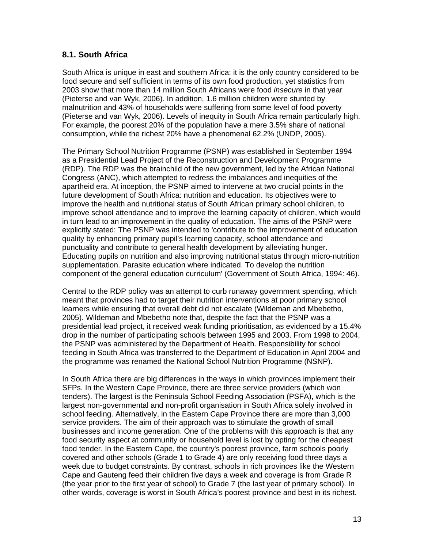### **8.1. South Africa**

South Africa is unique in east and southern Africa: it is the only country considered to be food secure and self sufficient in terms of its own food production, yet statistics from 2003 show that more than 14 million South Africans were food *insecure* in that year (Pieterse and van Wyk, 2006). In addition, 1.6 million children were stunted by malnutrition and 43% of households were suffering from some level of food poverty (Pieterse and van Wyk, 2006). Levels of inequity in South Africa remain particularly high. For example, the poorest 20% of the population have a mere 3.5% share of national consumption, while the richest 20% have a phenomenal 62.2% (UNDP, 2005).

The Primary School Nutrition Programme (PSNP) was established in September 1994 as a Presidential Lead Project of the Reconstruction and Development Programme (RDP). The RDP was the brainchild of the new government, led by the African National Congress (ANC), which attempted to redress the imbalances and inequities of the apartheid era. At inception, the PSNP aimed to intervene at two crucial points in the future development of South Africa: nutrition and education. Its objectives were to improve the health and nutritional status of South African primary school children, to improve school attendance and to improve the learning capacity of children, which would in turn lead to an improvement in the quality of education. The aims of the PSNP were explicitly stated: The PSNP was intended to 'contribute to the improvement of education quality by enhancing primary pupil's learning capacity, school attendance and punctuality and contribute to general health development by alleviating hunger. Educating pupils on nutrition and also improving nutritional status through micro-nutrition supplementation. Parasite education where indicated. To develop the nutrition component of the general education curriculum' (Government of South Africa, 1994: 46).

Central to the RDP policy was an attempt to curb runaway government spending, which meant that provinces had to target their nutrition interventions at poor primary school learners while ensuring that overall debt did not escalate (Wildeman and Mbebetho, 2005). Wildeman and Mbebetho note that, despite the fact that the PSNP was a presidential lead project, it received weak funding prioritisation, as evidenced by a 15.4% drop in the number of participating schools between 1995 and 2003. From 1998 to 2004, the PSNP was administered by the Department of Health. Responsibility for school feeding in South Africa was transferred to the Department of Education in April 2004 and the programme was renamed the National School Nutrition Programme (NSNP).

In South Africa there are big differences in the ways in which provinces implement their SFPs. In the Western Cape Province, there are three service providers (which won tenders). The largest is the Peninsula School Feeding Association (PSFA), which is the largest non-governmental and non-profit organisation in South Africa solely involved in school feeding. Alternatively, in the Eastern Cape Province there are more than 3,000 service providers. The aim of their approach was to stimulate the growth of small businesses and income generation. One of the problems with this approach is that any food security aspect at community or household level is lost by opting for the cheapest food tender. In the Eastern Cape, the country's poorest province, farm schools poorly covered and other schools (Grade 1 to Grade 4) are only receiving food three days a week due to budget constraints. By contrast, schools in rich provinces like the Western Cape and Gauteng feed their children five days a week and coverage is from Grade R (the year prior to the first year of school) to Grade 7 (the last year of primary school). In other words, coverage is worst in South Africa's poorest province and best in its richest.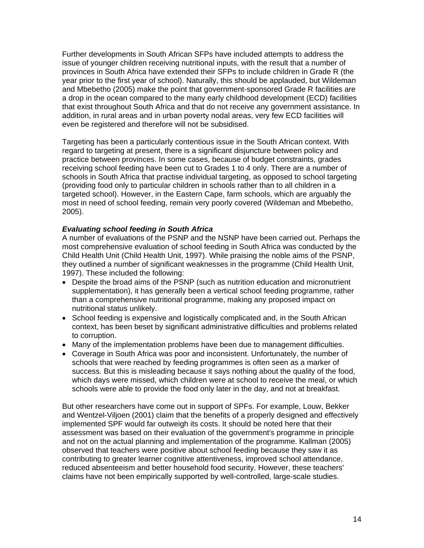Further developments in South African SFPs have included attempts to address the issue of younger children receiving nutritional inputs, with the result that a number of provinces in South Africa have extended their SFPs to include children in Grade R (the year prior to the first year of school). Naturally, this should be applauded, but Wildeman and Mbebetho (2005) make the point that government-sponsored Grade R facilities are a drop in the ocean compared to the many early childhood development (ECD) facilities that exist throughout South Africa and that do not receive any government assistance. In addition, in rural areas and in urban poverty nodal areas, very few ECD facilities will even be registered and therefore will not be subsidised.

Targeting has been a particularly contentious issue in the South African context. With regard to targeting at present, there is a significant disjuncture between policy and practice between provinces. In some cases, because of budget constraints, grades receiving school feeding have been cut to Grades 1 to 4 only. There are a number of schools in South Africa that practise individual targeting, as opposed to school targeting (providing food only to particular children in schools rather than to all children in a targeted school). However, in the Eastern Cape, farm schools, which are arguably the most in need of school feeding, remain very poorly covered (Wildeman and Mbebetho, 2005).

#### *Evaluating school feeding in South Africa*

A number of evaluations of the PSNP and the NSNP have been carried out. Perhaps the most comprehensive evaluation of school feeding in South Africa was conducted by the Child Health Unit (Child Health Unit, 1997). While praising the noble aims of the PSNP, they outlined a number of significant weaknesses in the programme (Child Health Unit, 1997). These included the following:

- Despite the broad aims of the PSNP (such as nutrition education and micronutrient supplementation), it has generally been a vertical school feeding programme, rather than a comprehensive nutritional programme, making any proposed impact on nutritional status unlikely.
- School feeding is expensive and logistically complicated and, in the South African context, has been beset by significant administrative difficulties and problems related to corruption.
- Many of the implementation problems have been due to management difficulties.
- Coverage in South Africa was poor and inconsistent. Unfortunately, the number of schools that were reached by feeding programmes is often seen as a marker of success. But this is misleading because it says nothing about the quality of the food, which days were missed, which children were at school to receive the meal, or which schools were able to provide the food only later in the day, and not at breakfast.

But other researchers have come out in support of SPFs. For example, Louw, Bekker and Wentzel-Viljoen (2001) claim that the benefits of a properly designed and effectively implemented SPF would far outweigh its costs. It should be noted here that their assessment was based on their evaluation of the government's programme in principle and not on the actual planning and implementation of the programme. Kallman (2005) observed that teachers were positive about school feeding because they saw it as contributing to greater learner cognitive attentiveness, improved school attendance, reduced absenteeism and better household food security. However, these teachers' claims have not been empirically supported by well-controlled, large-scale studies.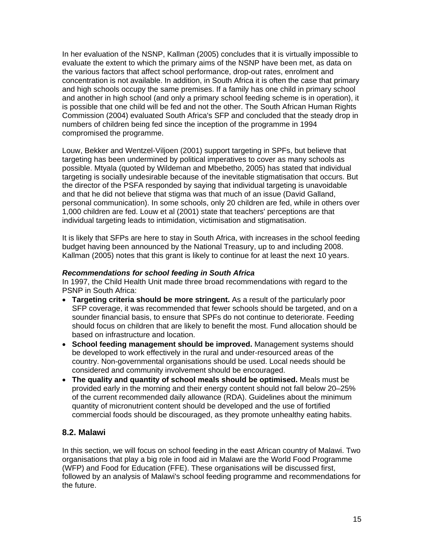In her evaluation of the NSNP, Kallman (2005) concludes that it is virtually impossible to evaluate the extent to which the primary aims of the NSNP have been met, as data on the various factors that affect school performance, drop-out rates, enrolment and concentration is not available. In addition, in South Africa it is often the case that primary and high schools occupy the same premises. If a family has one child in primary school and another in high school (and only a primary school feeding scheme is in operation), it is possible that one child will be fed and not the other. The South African Human Rights Commission (2004) evaluated South Africa's SFP and concluded that the steady drop in numbers of children being fed since the inception of the programme in 1994 compromised the programme.

Louw, Bekker and Wentzel-Viljoen (2001) support targeting in SPFs, but believe that targeting has been undermined by political imperatives to cover as many schools as possible. Mtyala (quoted by Wildeman and Mbebetho, 2005) has stated that individual targeting is socially undesirable because of the inevitable stigmatisation that occurs. But the director of the PSFA responded by saying that individual targeting is unavoidable and that he did not believe that stigma was that much of an issue (David Galland, personal communication). In some schools, only 20 children are fed, while in others over 1,000 children are fed. Louw et al (2001) state that teachers' perceptions are that individual targeting leads to intimidation, victimisation and stigmatisation.

It is likely that SFPs are here to stay in South Africa, with increases in the school feeding budget having been announced by the National Treasury, up to and including 2008. Kallman (2005) notes that this grant is likely to continue for at least the next 10 years.

#### *Recommendations for school feeding in South Africa*

In 1997, the Child Health Unit made three broad recommendations with regard to the PSNP in South Africa:

- **Targeting criteria should be more stringent.** As a result of the particularly poor SFP coverage, it was recommended that fewer schools should be targeted, and on a sounder financial basis, to ensure that SPFs do not continue to deteriorate. Feeding should focus on children that are likely to benefit the most. Fund allocation should be based on infrastructure and location.
- **School feeding management should be improved.** Management systems should be developed to work effectively in the rural and under-resourced areas of the country. Non-governmental organisations should be used. Local needs should be considered and community involvement should be encouraged.
- **The quality and quantity of school meals should be optimised.** Meals must be provided early in the morning and their energy content should not fall below 20–25% of the current recommended daily allowance (RDA). Guidelines about the minimum quantity of micronutrient content should be developed and the use of fortified commercial foods should be discouraged, as they promote unhealthy eating habits.

### **8.2. Malawi**

In this section, we will focus on school feeding in the east African country of Malawi. Two organisations that play a big role in food aid in Malawi are the World Food Programme (WFP) and Food for Education (FFE). These organisations will be discussed first, followed by an analysis of Malawi's school feeding programme and recommendations for the future.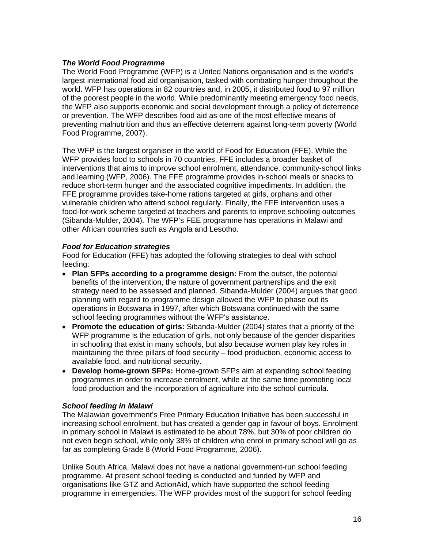#### *The World Food Programme*

The World Food Programme (WFP) is a United Nations organisation and is the world's largest international food aid organisation, tasked with combating hunger throughout the world. WFP has operations in 82 countries and, in 2005, it distributed food to 97 million of the poorest people in the world. While predominantly meeting emergency food needs, the WFP also supports economic and social development through a policy of deterrence or prevention. The WFP describes food aid as one of the most effective means of preventing malnutrition and thus an effective deterrent against long-term poverty (World Food Programme, 2007).

The WFP is the largest organiser in the world of Food for Education (FFE). While the WFP provides food to schools in 70 countries, FFE includes a broader basket of interventions that aims to improve school enrolment, attendance, community-school links and learning (WFP, 2006). The FFE programme provides in-school meals or snacks to reduce short-term hunger and the associated cognitive impediments. In addition, the FFE programme provides take-home rations targeted at girls, orphans and other vulnerable children who attend school regularly. Finally, the FFE intervention uses a food-for-work scheme targeted at teachers and parents to improve schooling outcomes (Sibanda-Mulder, 2004). The WFP's FEE programme has operations in Malawi and other African countries such as Angola and Lesotho.

#### *Food for Education strategies*

Food for Education (FFE) has adopted the following strategies to deal with school feeding:

- **Plan SFPs according to a programme design:** From the outset, the potential benefits of the intervention, the nature of government partnerships and the exit strategy need to be assessed and planned. Sibanda-Mulder (2004) argues that good planning with regard to programme design allowed the WFP to phase out its operations in Botswana in 1997, after which Botswana continued with the same school feeding programmes without the WFP's assistance.
- **Promote the education of girls:** Sibanda-Mulder (2004) states that a priority of the WFP programme is the education of girls, not only because of the gender disparities in schooling that exist in many schools, but also because women play key roles in maintaining the three pillars of food security – food production, economic access to available food, and nutritional security.
- **Develop home-grown SFPs:** Home-grown SFPs aim at expanding school feeding programmes in order to increase enrolment, while at the same time promoting local food production and the incorporation of agriculture into the school curricula.

#### *School feeding in Malawi*

The Malawian government's Free Primary Education Initiative has been successful in increasing school enrolment, but has created a gender gap in favour of boys. Enrolment in primary school in Malawi is estimated to be about 78%, but 30% of poor children do not even begin school, while only 38% of children who enrol in primary school will go as far as completing Grade 8 (World Food Programme, 2006).

Unlike South Africa, Malawi does not have a national government-run school feeding programme. At present school feeding is conducted and funded by WFP and organisations like GTZ and ActionAid, which have supported the school feeding programme in emergencies. The WFP provides most of the support for school feeding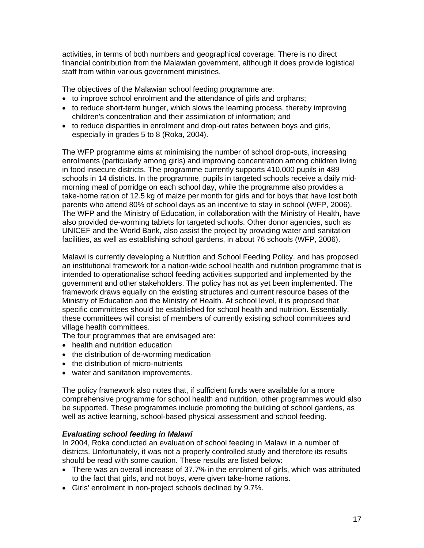activities, in terms of both numbers and geographical coverage. There is no direct financial contribution from the Malawian government, although it does provide logistical staff from within various government ministries.

The objectives of the Malawian school feeding programme are:

- to improve school enrolment and the attendance of girls and orphans;
- to reduce short-term hunger, which slows the learning process, thereby improving children's concentration and their assimilation of information; and
- to reduce disparities in enrolment and drop-out rates between boys and girls, especially in grades 5 to 8 (Roka, 2004).

The WFP programme aims at minimising the number of school drop-outs, increasing enrolments (particularly among girls) and improving concentration among children living in food insecure districts. The programme currently supports 410,000 pupils in 489 schools in 14 districts. In the programme, pupils in targeted schools receive a daily midmorning meal of porridge on each school day, while the programme also provides a take-home ration of 12.5 kg of maize per month for girls and for boys that have lost both parents who attend 80% of school days as an incentive to stay in school (WFP, 2006). The WFP and the Ministry of Education, in collaboration with the Ministry of Health, have also provided de-worming tablets for targeted schools. Other donor agencies, such as UNICEF and the World Bank, also assist the project by providing water and sanitation facilities, as well as establishing school gardens, in about 76 schools (WFP, 2006).

Malawi is currently developing a Nutrition and School Feeding Policy, and has proposed an institutional framework for a nation-wide school health and nutrition programme that is intended to operationalise school feeding activities supported and implemented by the government and other stakeholders. The policy has not as yet been implemented. The framework draws equally on the existing structures and current resource bases of the Ministry of Education and the Ministry of Health. At school level, it is proposed that specific committees should be established for school health and nutrition. Essentially, these committees will consist of members of currently existing school committees and village health committees.

The four programmes that are envisaged are:

- health and nutrition education
- the distribution of de-worming medication
- the distribution of micro-nutrients
- water and sanitation improvements.

The policy framework also notes that, if sufficient funds were available for a more comprehensive programme for school health and nutrition, other programmes would also be supported. These programmes include promoting the building of school gardens, as well as active learning, school-based physical assessment and school feeding.

#### *Evaluating school feeding in Malawi*

In 2004, Roka conducted an evaluation of school feeding in Malawi in a number of districts. Unfortunately, it was not a properly controlled study and therefore its results should be read with some caution. These results are listed below:

- There was an overall increase of 37.7% in the enrolment of girls, which was attributed to the fact that girls, and not boys, were given take-home rations.
- Girls' enrolment in non-project schools declined by 9.7%.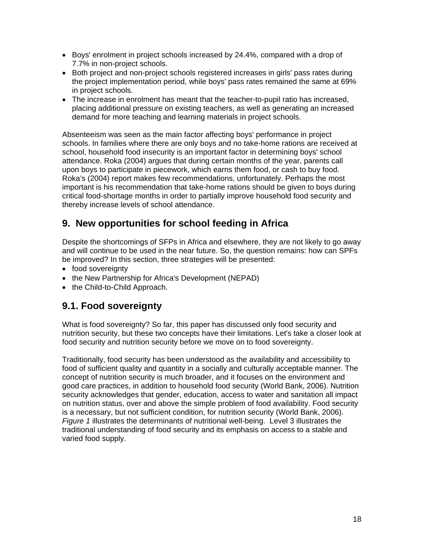- Boys' enrolment in project schools increased by 24.4%, compared with a drop of 7.7% in non-project schools.
- Both project and non-project schools registered increases in girls' pass rates during the project implementation period, while boys' pass rates remained the same at 69% in project schools.
- The increase in enrolment has meant that the teacher-to-pupil ratio has increased, placing additional pressure on existing teachers, as well as generating an increased demand for more teaching and learning materials in project schools.

Absenteeism was seen as the main factor affecting boys' performance in project schools. In families where there are only boys and no take-home rations are received at school, household food insecurity is an important factor in determining boys' school attendance. Roka (2004) argues that during certain months of the year, parents call upon boys to participate in piecework, which earns them food, or cash to buy food. Roka's (2004) report makes few recommendations, unfortunately. Perhaps the most important is his recommendation that take-home rations should be given to boys during critical food-shortage months in order to partially improve household food security and thereby increase levels of school attendance.

## **9. New opportunities for school feeding in Africa**

Despite the shortcomings of SFPs in Africa and elsewhere, they are not likely to go away and will continue to be used in the near future. So, the question remains: how can SPFs be improved? In this section, three strategies will be presented:

- food sovereignty
- the New Partnership for Africa's Development (NEPAD)
- the Child-to-Child Approach.

## **9.1. Food sovereignty**

What is food sovereignty? So far, this paper has discussed only food security and nutrition security, but these two concepts have their limitations. Let's take a closer look at food security and nutrition security before we move on to food sovereignty.

Traditionally, food security has been understood as the availability and accessibility to food of sufficient quality and quantity in a socially and culturally acceptable manner. The concept of nutrition security is much broader, and it focuses on the environment and good care practices, in addition to household food security (World Bank, 2006). Nutrition security acknowledges that gender, education, access to water and sanitation all impact on nutrition status, over and above the simple problem of food availability. Food security is a necessary, but not sufficient condition, for nutrition security (World Bank, 2006). *Figure 1* illustrates the determinants of nutritional well-being. Level 3 illustrates the traditional understanding of food security and its emphasis on access to a stable and varied food supply.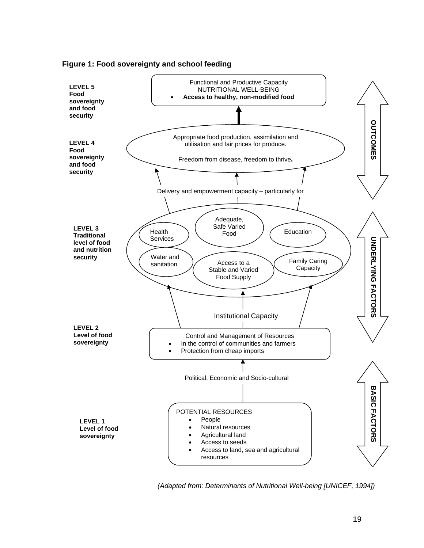



*(Adapted from: Determinants of Nutritional Well-being [UNICEF, 1994])*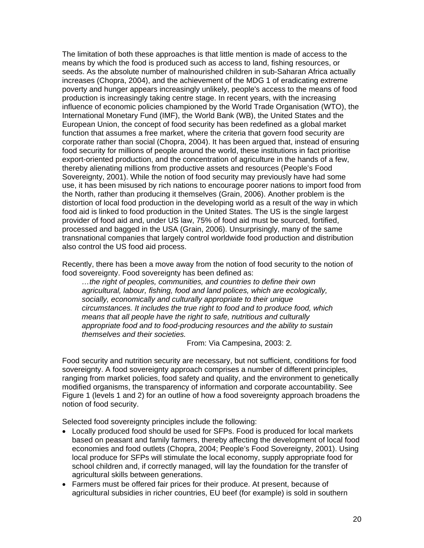The limitation of both these approaches is that little mention is made of access to the means by which the food is produced such as access to land, fishing resources, or seeds. As the absolute number of malnourished children in sub-Saharan Africa actually increases (Chopra, 2004), and the achievement of the MDG 1 of eradicating extreme poverty and hunger appears increasingly unlikely, people's access to the means of food production is increasingly taking centre stage. In recent years, with the increasing influence of economic policies championed by the World Trade Organisation (WTO), the International Monetary Fund (IMF), the World Bank (WB), the United States and the European Union, the concept of food security has been redefined as a global market function that assumes a free market, where the criteria that govern food security are corporate rather than social (Chopra, 2004). It has been argued that, instead of ensuring food security for millions of people around the world, these institutions in fact prioritise export-oriented production, and the concentration of agriculture in the hands of a few, thereby alienating millions from productive assets and resources (People's Food Sovereignty, 2001). While the notion of food security may previously have had some use, it has been misused by rich nations to encourage poorer nations to import food from the North, rather than producing it themselves (Grain, 2006). Another problem is the distortion of local food production in the developing world as a result of the way in which food aid is linked to food production in the United States. The US is the single largest provider of food aid and, under US law, 75% of food aid must be sourced, fortified, processed and bagged in the USA (Grain, 2006). Unsurprisingly, many of the same transnational companies that largely control worldwide food production and distribution also control the US food aid process.

Recently, there has been a move away from the notion of food security to the notion of food sovereignty. Food sovereignty has been defined as:

*…the right of peoples, communities, and countries to define their own agricultural, labour, fishing, food and land polices, which are ecologically, socially, economically and culturally appropriate to their unique circumstances. It includes the true right to food and to produce food, which means that all people have the right to safe, nutritious and culturally appropriate food and to food-producing resources and the ability to sustain themselves and their societies.* 

From: Via Campesina, 2003: 2*.* 

Food security and nutrition security are necessary, but not sufficient, conditions for food sovereignty. A food sovereignty approach comprises a number of different principles, ranging from market policies, food safety and quality, and the environment to genetically modified organisms, the transparency of information and corporate accountability. See Figure 1 (levels 1 and 2) for an outline of how a food sovereignty approach broadens the notion of food security.

Selected food sovereignty principles include the following:

- Locally produced food should be used for SFPs. Food is produced for local markets based on peasant and family farmers, thereby affecting the development of local food economies and food outlets (Chopra, 2004; People's Food Sovereignty, 2001). Using local produce for SFPs will stimulate the local economy, supply appropriate food for school children and, if correctly managed, will lay the foundation for the transfer of agricultural skills between generations.
- Farmers must be offered fair prices for their produce. At present, because of agricultural subsidies in richer countries, EU beef (for example) is sold in southern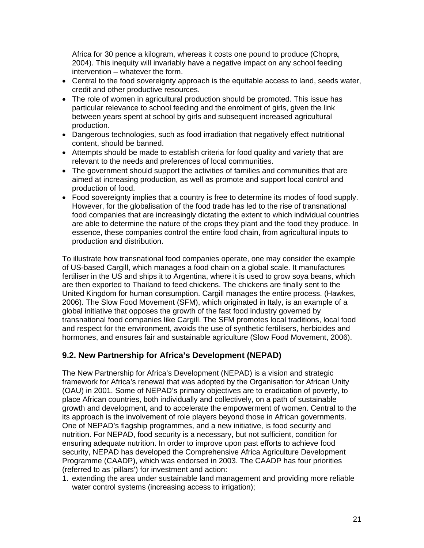Africa for 30 pence a kilogram, whereas it costs one pound to produce (Chopra, 2004). This inequity will invariably have a negative impact on any school feeding intervention – whatever the form.

- Central to the food sovereignty approach is the equitable access to land, seeds water, credit and other productive resources.
- The role of women in agricultural production should be promoted. This issue has particular relevance to school feeding and the enrolment of girls, given the link between years spent at school by girls and subsequent increased agricultural production.
- Dangerous technologies, such as food irradiation that negatively effect nutritional content, should be banned.
- Attempts should be made to establish criteria for food quality and variety that are relevant to the needs and preferences of local communities.
- The government should support the activities of families and communities that are aimed at increasing production, as well as promote and support local control and production of food.
- Food sovereignty implies that a country is free to determine its modes of food supply. However, for the globalisation of the food trade has led to the rise of transnational food companies that are increasingly dictating the extent to which individual countries are able to determine the nature of the crops they plant and the food they produce. In essence, these companies control the entire food chain, from agricultural inputs to production and distribution.

To illustrate how transnational food companies operate, one may consider the example of US-based Cargill, which manages a food chain on a global scale. It manufactures fertiliser in the US and ships it to Argentina, where it is used to grow soya beans, which are then exported to Thailand to feed chickens. The chickens are finally sent to the United Kingdom for human consumption. Cargill manages the entire process. (Hawkes, 2006). The Slow Food Movement (SFM), which originated in Italy, is an example of a global initiative that opposes the growth of the fast food industry governed by transnational food companies like Cargill. The SFM promotes local traditions, local food and respect for the environment, avoids the use of synthetic fertilisers, herbicides and hormones, and ensures fair and sustainable agriculture (Slow Food Movement, 2006).

### **9.2. New Partnership for Africa's Development (NEPAD)**

The New Partnership for Africa's Development (NEPAD) is a vision and strategic framework for Africa's renewal that was adopted by the Organisation for African Unity (OAU) in 2001. Some of NEPAD's primary objectives are to eradication of poverty, to place African countries, both individually and collectively, on a path of sustainable growth and development, and to accelerate the empowerment of women. Central to the its approach is the involvement of role players beyond those in African governments. One of NEPAD's flagship programmes, and a new initiative, is food security and nutrition. For NEPAD, food security is a necessary, but not sufficient, condition for ensuring adequate nutrition. In order to improve upon past efforts to achieve food security, NEPAD has developed the Comprehensive Africa Agriculture Development Programme (CAADP), which was endorsed in 2003. The CAADP has four priorities (referred to as 'pillars') for investment and action:

1. extending the area under sustainable land management and providing more reliable water control systems (increasing access to irrigation);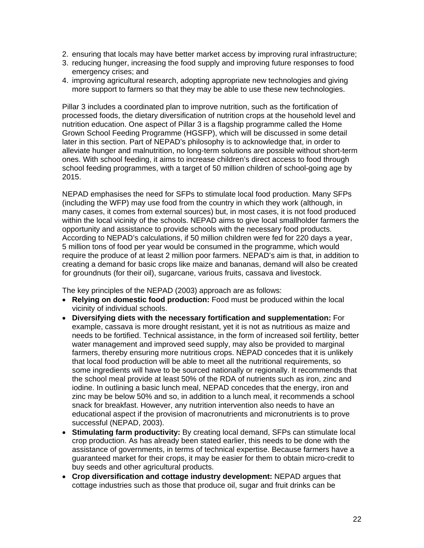- 2. ensuring that locals may have better market access by improving rural infrastructure;
- 3. reducing hunger, increasing the food supply and improving future responses to food emergency crises; and
- 4. improving agricultural research, adopting appropriate new technologies and giving more support to farmers so that they may be able to use these new technologies.

Pillar 3 includes a coordinated plan to improve nutrition, such as the fortification of processed foods, the dietary diversification of nutrition crops at the household level and nutrition education. One aspect of Pillar 3 is a flagship programme called the Home Grown School Feeding Programme (HGSFP), which will be discussed in some detail later in this section. Part of NEPAD's philosophy is to acknowledge that, in order to alleviate hunger and malnutrition, no long-term solutions are possible without short-term ones. With school feeding, it aims to increase children's direct access to food through school feeding programmes, with a target of 50 million children of school-going age by 2015.

NEPAD emphasises the need for SFPs to stimulate local food production. Many SFPs (including the WFP) may use food from the country in which they work (although, in many cases, it comes from external sources) but, in most cases, it is not food produced within the local vicinity of the schools. NEPAD aims to give local smallholder farmers the opportunity and assistance to provide schools with the necessary food products. According to NEPAD's calculations, if 50 million children were fed for 220 days a year, 5 million tons of food per year would be consumed in the programme, which would require the produce of at least 2 million poor farmers. NEPAD's aim is that, in addition to creating a demand for basic crops like maize and bananas, demand will also be created for groundnuts (for their oil), sugarcane, various fruits, cassava and livestock.

The key principles of the NEPAD (2003) approach are as follows:

- **Relying on domestic food production:** Food must be produced within the local vicinity of individual schools.
- **Diversifying diets with the necessary fortification and supplementation:** For example, cassava is more drought resistant, yet it is not as nutritious as maize and needs to be fortified. Technical assistance, in the form of increased soil fertility, better water management and improved seed supply, may also be provided to marginal farmers, thereby ensuring more nutritious crops. NEPAD concedes that it is unlikely that local food production will be able to meet all the nutritional requirements, so some ingredients will have to be sourced nationally or regionally. It recommends that the school meal provide at least 50% of the RDA of nutrients such as iron, zinc and iodine. In outlining a basic lunch meal, NEPAD concedes that the energy, iron and zinc may be below 50% and so, in addition to a lunch meal, it recommends a school snack for breakfast. However, any nutrition intervention also needs to have an educational aspect if the provision of macronutrients and micronutrients is to prove successful (NEPAD, 2003).
- **Stimulating farm productivity:** By creating local demand, SFPs can stimulate local crop production. As has already been stated earlier, this needs to be done with the assistance of governments, in terms of technical expertise. Because farmers have a guaranteed market for their crops, it may be easier for them to obtain micro-credit to buy seeds and other agricultural products.
- **Crop diversification and cottage industry development:** NEPAD argues that cottage industries such as those that produce oil, sugar and fruit drinks can be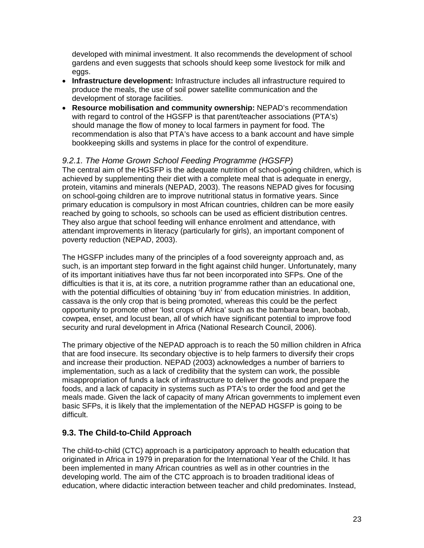developed with minimal investment. It also recommends the development of school gardens and even suggests that schools should keep some livestock for milk and eggs.

- **Infrastructure development:** Infrastructure includes all infrastructure required to produce the meals, the use of soil power satellite communication and the development of storage facilities.
- **Resource mobilisation and community ownership:** NEPAD's recommendation with regard to control of the HGSFP is that parent/teacher associations (PTA's) should manage the flow of money to local farmers in payment for food. The recommendation is also that PTA's have access to a bank account and have simple bookkeeping skills and systems in place for the control of expenditure.

### *9.2.1. The Home Grown School Feeding Programme (HGSFP)*

The central aim of the HGSFP is the adequate nutrition of school-going children, which is achieved by supplementing their diet with a complete meal that is adequate in energy, protein, vitamins and minerals (NEPAD, 2003). The reasons NEPAD gives for focusing on school-going children are to improve nutritional status in formative years. Since primary education is compulsory in most African countries, children can be more easily reached by going to schools, so schools can be used as efficient distribution centres. They also argue that school feeding will enhance enrolment and attendance, with attendant improvements in literacy (particularly for girls), an important component of poverty reduction (NEPAD, 2003).

The HGSFP includes many of the principles of a food sovereignty approach and, as such, is an important step forward in the fight against child hunger. Unfortunately, many of its important initiatives have thus far not been incorporated into SFPs. One of the difficulties is that it is, at its core, a nutrition programme rather than an educational one, with the potential difficulties of obtaining 'buy in' from education ministries. In addition, cassava is the only crop that is being promoted, whereas this could be the perfect opportunity to promote other 'lost crops of Africa' such as the bambara bean, baobab, cowpea, enset, and locust bean, all of which have significant potential to improve food security and rural development in Africa (National Research Council, 2006).

The primary objective of the NEPAD approach is to reach the 50 million children in Africa that are food insecure. Its secondary objective is to help farmers to diversify their crops and increase their production. NEPAD (2003) acknowledges a number of barriers to implementation, such as a lack of credibility that the system can work, the possible misappropriation of funds a lack of infrastructure to deliver the goods and prepare the foods, and a lack of capacity in systems such as PTA's to order the food and get the meals made. Given the lack of capacity of many African governments to implement even basic SFPs, it is likely that the implementation of the NEPAD HGSFP is going to be difficult.

## **9.3. The Child-to-Child Approach**

The child-to-child (CTC) approach is a participatory approach to health education that originated in Africa in 1979 in preparation for the International Year of the Child. It has been implemented in many African countries as well as in other countries in the developing world. The aim of the CTC approach is to broaden traditional ideas of education, where didactic interaction between teacher and child predominates. Instead,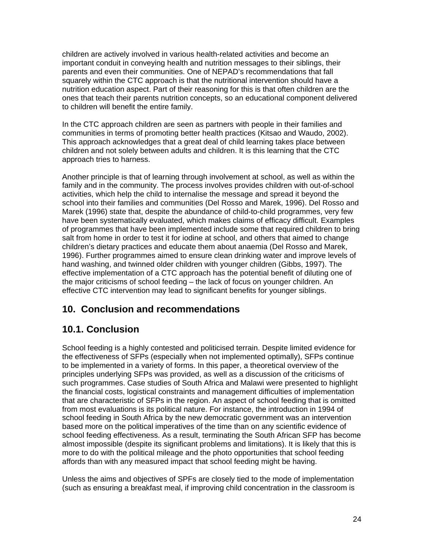children are actively involved in various health-related activities and become an important conduit in conveying health and nutrition messages to their siblings, their parents and even their communities. One of NEPAD's recommendations that fall squarely within the CTC approach is that the nutritional intervention should have a nutrition education aspect. Part of their reasoning for this is that often children are the ones that teach their parents nutrition concepts, so an educational component delivered to children will benefit the entire family.

In the CTC approach children are seen as partners with people in their families and communities in terms of promoting better health practices (Kitsao and Waudo, 2002). This approach acknowledges that a great deal of child learning takes place between children and not solely between adults and children. It is this learning that the CTC approach tries to harness.

Another principle is that of learning through involvement at school, as well as within the family and in the community. The process involves provides children with out-of-school activities, which help the child to internalise the message and spread it beyond the school into their families and communities (Del Rosso and Marek, 1996). Del Rosso and Marek (1996) state that, despite the abundance of child-to-child programmes, very few have been systematically evaluated, which makes claims of efficacy difficult. Examples of programmes that have been implemented include some that required children to bring salt from home in order to test it for iodine at school, and others that aimed to change children's dietary practices and educate them about anaemia (Del Rosso and Marek, 1996). Further programmes aimed to ensure clean drinking water and improve levels of hand washing, and twinned older children with younger children (Gibbs, 1997). The effective implementation of a CTC approach has the potential benefit of diluting one of the major criticisms of school feeding – the lack of focus on younger children. An effective CTC intervention may lead to significant benefits for younger siblings.

## **10. Conclusion and recommendations**

# **10.1. Conclusion**

School feeding is a highly contested and politicised terrain. Despite limited evidence for the effectiveness of SFPs (especially when not implemented optimally), SFPs continue to be implemented in a variety of forms. In this paper, a theoretical overview of the principles underlying SFPs was provided, as well as a discussion of the criticisms of such programmes. Case studies of South Africa and Malawi were presented to highlight the financial costs, logistical constraints and management difficulties of implementation that are characteristic of SFPs in the region. An aspect of school feeding that is omitted from most evaluations is its political nature. For instance, the introduction in 1994 of school feeding in South Africa by the new democratic government was an intervention based more on the political imperatives of the time than on any scientific evidence of school feeding effectiveness. As a result, terminating the South African SFP has become almost impossible (despite its significant problems and limitations). It is likely that this is more to do with the political mileage and the photo opportunities that school feeding affords than with any measured impact that school feeding might be having.

Unless the aims and objectives of SPFs are closely tied to the mode of implementation (such as ensuring a breakfast meal, if improving child concentration in the classroom is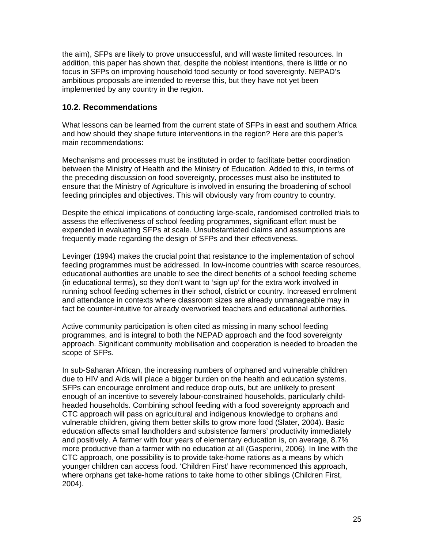the aim), SFPs are likely to prove unsuccessful, and will waste limited resources. In addition, this paper has shown that, despite the noblest intentions, there is little or no focus in SFPs on improving household food security or food sovereignty. NEPAD's ambitious proposals are intended to reverse this, but they have not yet been implemented by any country in the region.

#### **10.2. Recommendations**

What lessons can be learned from the current state of SFPs in east and southern Africa and how should they shape future interventions in the region? Here are this paper's main recommendations:

Mechanisms and processes must be instituted in order to facilitate better coordination between the Ministry of Health and the Ministry of Education. Added to this, in terms of the preceding discussion on food sovereignty, processes must also be instituted to ensure that the Ministry of Agriculture is involved in ensuring the broadening of school feeding principles and objectives. This will obviously vary from country to country.

Despite the ethical implications of conducting large-scale, randomised controlled trials to assess the effectiveness of school feeding programmes, significant effort must be expended in evaluating SFPs at scale. Unsubstantiated claims and assumptions are frequently made regarding the design of SFPs and their effectiveness.

Levinger (1994) makes the crucial point that resistance to the implementation of school feeding programmes must be addressed. In low-income countries with scarce resources, educational authorities are unable to see the direct benefits of a school feeding scheme (in educational terms), so they don't want to 'sign up' for the extra work involved in running school feeding schemes in their school, district or country. Increased enrolment and attendance in contexts where classroom sizes are already unmanageable may in fact be counter-intuitive for already overworked teachers and educational authorities.

Active community participation is often cited as missing in many school feeding programmes, and is integral to both the NEPAD approach and the food sovereignty approach. Significant community mobilisation and cooperation is needed to broaden the scope of SFPs.

In sub-Saharan African, the increasing numbers of orphaned and vulnerable children due to HIV and Aids will place a bigger burden on the health and education systems. SFPs can encourage enrolment and reduce drop outs, but are unlikely to present enough of an incentive to severely labour-constrained households, particularly childheaded households. Combining school feeding with a food sovereignty approach and CTC approach will pass on agricultural and indigenous knowledge to orphans and vulnerable children, giving them better skills to grow more food (Slater, 2004). Basic education affects small landholders and subsistence farmers' productivity immediately and positively. A farmer with four years of elementary education is, on average, 8.7% more productive than a farmer with no education at all (Gasperini, 2006). In line with the CTC approach, one possibility is to provide take-home rations as a means by which younger children can access food. 'Children First' have recommenced this approach, where orphans get take-home rations to take home to other siblings (Children First, 2004).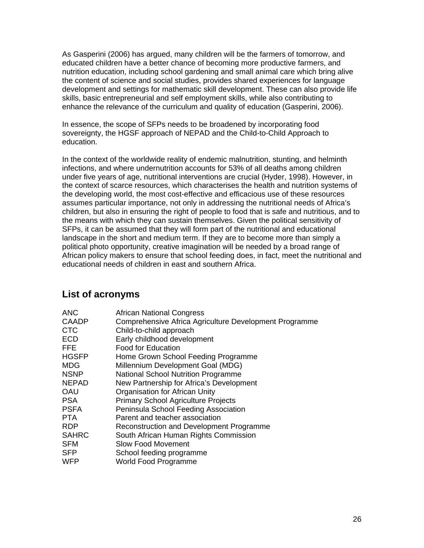As Gasperini (2006) has argued, many children will be the farmers of tomorrow, and educated children have a better chance of becoming more productive farmers, and nutrition education, including school gardening and small animal care which bring alive the content of science and social studies, provides shared experiences for language development and settings for mathematic skill development. These can also provide life skills, basic entrepreneurial and self employment skills, while also contributing to enhance the relevance of the curriculum and quality of education (Gasperini, 2006).

In essence, the scope of SFPs needs to be broadened by incorporating food sovereignty, the HGSF approach of NEPAD and the Child-to-Child Approach to education.

In the context of the worldwide reality of endemic malnutrition, stunting, and helminth infections, and where undernutrition accounts for 53% of all deaths among children under five years of age, nutritional interventions are crucial (Hyder, 1998). However, in the context of scarce resources, which characterises the health and nutrition systems of the developing world, the most cost-effective and efficacious use of these resources assumes particular importance, not only in addressing the nutritional needs of Africa's children, but also in ensuring the right of people to food that is safe and nutritious, and to the means with which they can sustain themselves. Given the political sensitivity of SFPs, it can be assumed that they will form part of the nutritional and educational landscape in the short and medium term. If they are to become more than simply a political photo opportunity, creative imagination will be needed by a broad range of African policy makers to ensure that school feeding does, in fact, meet the nutritional and educational needs of children in east and southern Africa.

## **List of acronyms**

| <b>African National Congress</b>                       |
|--------------------------------------------------------|
| Comprehensive Africa Agriculture Development Programme |
| Child-to-child approach                                |
| Early childhood development                            |
| <b>Food for Education</b>                              |
| Home Grown School Feeding Programme                    |
| Millennium Development Goal (MDG)                      |
| <b>National School Nutrition Programme</b>             |
| New Partnership for Africa's Development               |
| Organisation for African Unity                         |
| <b>Primary School Agriculture Projects</b>             |
| Peninsula School Feeding Association                   |
| Parent and teacher association                         |
| Reconstruction and Development Programme               |
| South African Human Rights Commission                  |
| <b>Slow Food Movement</b>                              |
| School feeding programme                               |
| World Food Programme                                   |
|                                                        |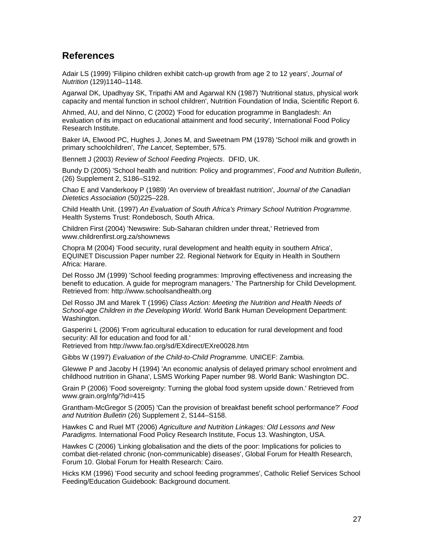### **References**

Adair LS (1999) 'Filipino children exhibit catch-up growth from age 2 to 12 years', *Journal of Nutrition* (129)1140–1148.

Agarwal DK, Upadhyay SK, Tripathi AM and Agarwal KN (1987) 'Nutritional status, physical work capacity and mental function in school children', Nutrition Foundation of India, Scientific Report 6.

Ahmed, AU, and del Ninno, C (2002) 'Food for education programme in Bangladesh: An evaluation of its impact on educational attainment and food security', International Food Policy Research Institute.

Baker IA, Elwood PC, Hughes J, Jones M, and Sweetnam PM (1978) 'School milk and growth in primary schoolchildren', *The Lancet*, September, 575.

Bennett J (2003) *Review of School Feeding Projects*. DFID, UK.

Bundy D (2005) 'School health and nutrition: Policy and programmes', *Food and Nutrition Bulletin*, (26) Supplement 2, S186–S192.

Chao E and Vanderkooy P (1989) 'An overview of breakfast nutrition', *Journal of the Canadian Dietetics Association* (50)225–228.

Child Health Unit. (1997) *An Evaluation of South Africa's Primary School Nutrition Programme*. Health Systems Trust: Rondebosch, South Africa.

Children First (2004) 'Newswire: Sub-Saharan children under threat,' Retrieved from www.childrenfirst.org.za/shownews

Chopra M (2004) 'Food security, rural development and health equity in southern Africa', EQUINET Discussion Paper number 22. Regional Network for Equity in Health in Southern Africa: Harare.

Del Rosso JM (1999) 'School feeding programmes: Improving effectiveness and increasing the benefit to education. A guide for meprogram managers.' The Partnership for Child Development. Retrieved from: http://www.schoolsandhealth.org

Del Rosso JM and Marek T (1996) *Class Action: Meeting the Nutrition and Health Needs of School-age Children in the Developing World.* World Bank Human Development Department: Washington.

Gasperini L (2006) 'From agricultural education to education for rural development and food security: All for education and food for all.'

Retrieved from http://www.fao.org/sd/EXdirect/EXre0028.htm

Gibbs W (1997) *Evaluation of the Child-to-Child Programme.* UNICEF: Zambia.

Glewwe P and Jacoby H (1994) 'An economic analysis of delayed primary school enrolment and childhood nutrition in Ghana', LSMS Working Paper number 98. World Bank: Washington DC.

Grain P (2006) 'Food sovereignty: Turning the global food system upside down.' Retrieved from www.grain.org/nfg/?id=415

Grantham-McGregor S (2005) 'Can the provision of breakfast benefit school performance?' *Food and Nutrition Bulletin* (26) Supplement 2, S144–S158.

Hawkes C and Ruel MT (2006) *Agriculture and Nutrition Linkages: Old Lessons and New Paradigms.* International Food Policy Research Institute, Focus 13. Washington, USA.

Hawkes C (2006) 'Linking globalisation and the diets of the poor: Implications for policies to combat diet-related chronic (non-communicable) diseases', Global Forum for Health Research, Forum 10. Global Forum for Health Research: Cairo.

Hicks KM (1996) 'Food security and school feeding programmes', Catholic Relief Services School Feeding/Education Guidebook: Background document.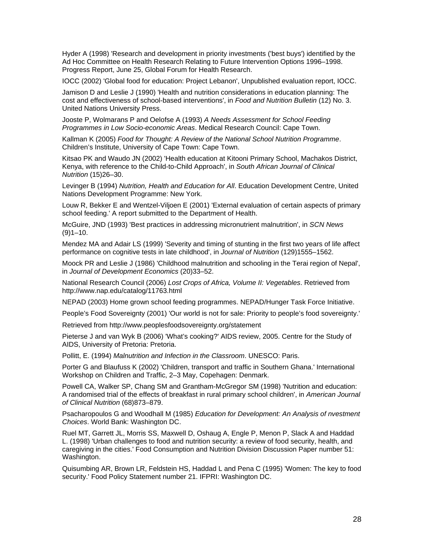Hyder A (1998) 'Research and development in priority investments ('best buys') identified by the Ad Hoc Committee on Health Research Relating to Future Intervention Options 1996–1998. Progress Report, June 25, Global Forum for Health Research.

IOCC (2002) 'Global food for education: Project Lebanon', Unpublished evaluation report, IOCC.

Jamison D and Leslie J (1990) 'Health and nutrition considerations in education planning: The cost and effectiveness of school-based interventions', in *Food and Nutrition Bulletin* (12) No. 3. United Nations University Press.

Jooste P, Wolmarans P and Oelofse A (1993) *A Needs Assessment for School Feeding Programmes in Low Socio-economic Areas*. Medical Research Council: Cape Town.

Kallman K (2005) *Food for Thought: A Review of the National School Nutrition Programme*. Children's Institute, University of Cape Town: Cape Town.

Kitsao PK and Waudo JN (2002) 'Health education at Kitooni Primary School, Machakos District, Kenya, with reference to the Child-to-Child Approach', in *South African Journal of Clinical Nutrition* (15)26–30.

Levinger B (1994) *Nutrition, Health and Education for All*. Education Development Centre, United Nations Development Programme: New York.

Louw R, Bekker E and Wentzel-Viljoen E (2001) 'External evaluation of certain aspects of primary school feeding.' A report submitted to the Department of Health.

McGuire, JND (1993) 'Best practices in addressing micronutrient malnutrition', in *SCN News*  $(9)1-10.$ 

Mendez MA and Adair LS (1999) 'Severity and timing of stunting in the first two years of life affect performance on cognitive tests in late childhood', in *Journal of Nutrition* (129)1555–1562.

Moock PR and Leslie J (1986) 'Childhood malnutrition and schooling in the Terai region of Nepal', in *Journal of Development Economics* (20)33–52.

National Research Council (2006) *Lost Crops of Africa, Volume II: Vegetables*. Retrieved from http://www.nap.edu/catalog/11763.html

NEPAD (2003) Home grown school feeding programmes. NEPAD/Hunger Task Force Initiative.

People's Food Sovereignty (2001) 'Our world is not for sale: Priority to people's food sovereignty.'

Retrieved from http://www.peoplesfoodsovereignty.org/statement

Pieterse J and van Wyk B (2006) 'What's cooking?' AIDS review, 2005. Centre for the Study of AIDS, University of Pretoria: Pretoria.

Pollitt, E. (1994) *Malnutrition and Infection in the Classroom*. UNESCO: Paris.

Porter G and Blaufuss K (2002) 'Children, transport and traffic in Southern Ghana.' International Workshop on Children and Traffic, 2–3 May, Copehagen: Denmark.

Powell CA, Walker SP, Chang SM and Grantham-McGregor SM (1998) 'Nutrition and education: A randomised trial of the effects of breakfast in rural primary school children', in *American Journal of Clinical Nutrition* (68)873–879.

Psacharopoulos G and Woodhall M (1985) *Education for Development: An Analysis of nvestment Choices*. World Bank: Washington DC.

Ruel MT, Garrett JL, Morris SS, Maxwell D, Oshaug A, Engle P, Menon P, Slack A and Haddad L. (1998) 'Urban challenges to food and nutrition security: a review of food security, health, and caregiving in the cities.' Food Consumption and Nutrition Division Discussion Paper number 51: Washington.

Quisumbing AR, Brown LR, Feldstein HS, Haddad L and Pena C (1995) 'Women: The key to food security.' Food Policy Statement number 21. IFPRI: Washington DC.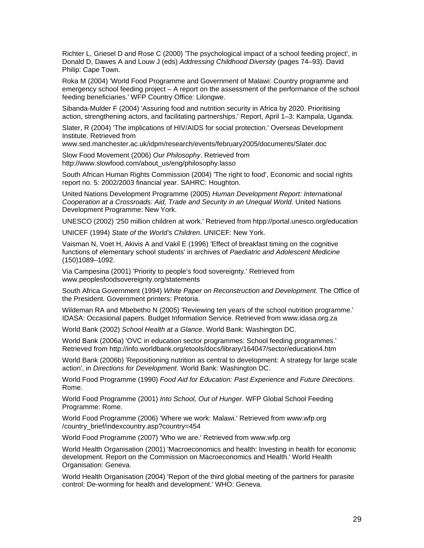Richter L, Griesel D and Rose C (2000) 'The psychological impact of a school feeding project', in Donald D, Dawes A and Louw J (eds) *Addressing Childhood Diversity* (pages 74–93). David Philip: Cape Town.

Roka M (2004) 'World Food Programme and Government of Malawi: Country programme and emergency school feeding project – A report on the assessment of the performance of the school feeding beneficiaries.' WFP Country Office: Lilongwe.

Sibanda-Mulder F (2004) 'Assuring food and nutrition security in Africa by 2020. Prioritising action, strengthening actors, and facilitating partnerships.' Report, April 1–3: Kampala, Uganda.

Slater, R (2004) 'The implications of HIV/AIDS for social protection.' Overseas Development Institute. Retrieved from

www.sed.manchester.ac.uk/idpm/research/events/february2005/documents/Slater.doc

Slow Food Movement (2006) *Our Philosophy*. Retrieved from http://www.slowfood.com/about\_us/eng/philosophy.lasso

South African Human Rights Commission (2004) 'The right to food', Economic and social rights report no. 5: 2002/2003 financial year. SAHRC: Houghton.

United Nations Development Programme (2005) *Human Development Report: International Cooperation at a Crossroads: Aid, Trade and Security in an Unequal World*. United Nations Development Programme: New York.

UNESCO (2002) '250 million children at work.' Retrieved from htpp://portal.unesco.org/education

UNICEF (1994) *State of the World's Children*. UNICEF: New York.

Vaisman N, Voet H, Akivis A and Vakil E (1996) 'Effect of breakfast timing on the cognitive functions of elementary school students' in archives of *Paediatric and Adolescent Medicine* (150)1089–1092.

Via Campesina (2001) 'Priority to people's food sovereignty.' Retrieved from www.peoplesfoodsovereignty.org/statements

South Africa Government (1994) *White Paper on Reconstruction and Development*. The Office of the President. Government printers: Pretoria.

Wildeman RA and Mbebetho N (2005) 'Reviewing ten years of the school nutrition programme.' IDASA: Occasional papers. Budget Information Service. Retrieved from www.idasa.org.za

World Bank (2002) *School Health at a Glance*. World Bank: Washington DC.

World Bank (2006a) 'OVC in education sector programmes: School feeding programmes.' Retrieved from http://info.worldbank.org/etools/docs/library/164047/sector/education4.htm

World Bank (2006b) 'Repositioning nutrition as central to development: A strategy for large scale action', in *Directions for Development*. World Bank: Washington DC.

World Food Programme (1990) *Food Aid for Education: Past Experience and Future Directions*. Rome.

World Food Programme (2001) *Into School, Out of Hunger*. WFP Global School Feeding Programme: Rome.

World Food Programme (2006) 'Where we work: Malawi.' Retrieved from www.wfp.org /country\_brief/indexcountry.asp?country=454

World Food Programme (2007) 'Who we are.' Retrieved from www.wfp.org

World Health Organisation (2001) 'Macroeconomics and health: Investing in health for economic development. Report on the Commission on Macroeconomics and Health.' World Health Organisation: Geneva.

World Health Organisation (2004) 'Report of the third global meeting of the partners for parasite control: De-worming for health and development.' WHO: Geneva.